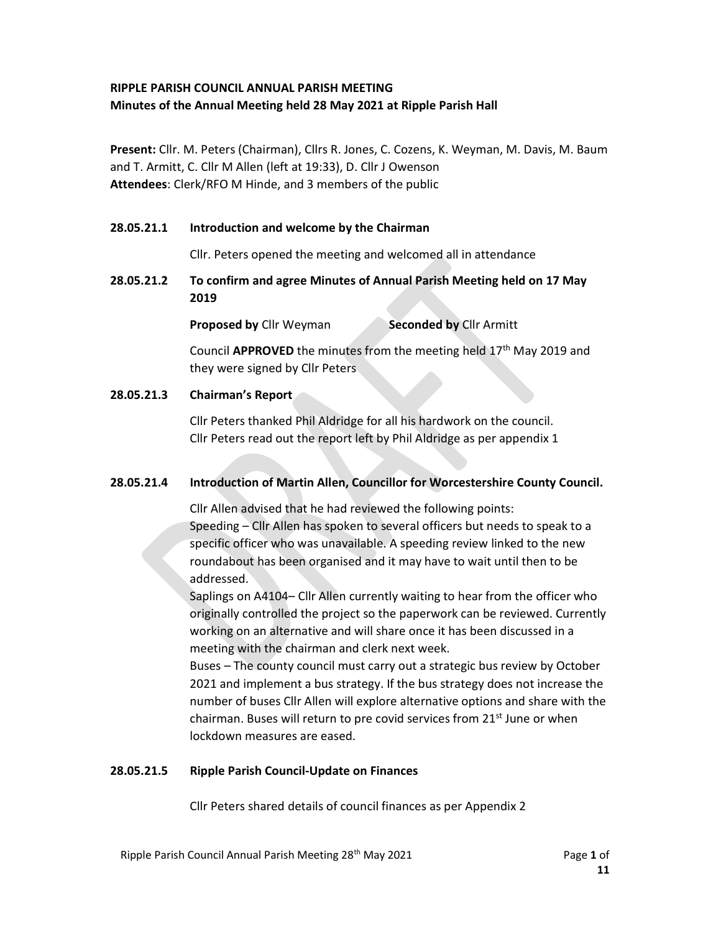# RIPPLE PARISH COUNCIL ANNUAL PARISH MEETING Minutes of the Annual Meeting held 28 May 2021 at Ripple Parish Hall

Present: Cllr. M. Peters (Chairman), Cllrs R. Jones, C. Cozens, K. Weyman, M. Davis, M. Baum and T. Armitt, C. Cllr M Allen (left at 19:33), D. Cllr J Owenson Attendees: Clerk/RFO M Hinde, and 3 members of the public

# 28.05.21.1 Introduction and welcome by the Chairman

Cllr. Peters opened the meeting and welcomed all in attendance

28.05.21.2 To confirm and agree Minutes of Annual Parish Meeting held on 17 May 2019

Proposed by Cllr Weyman Seconded by Cllr Armitt

Council **APPROVED** the minutes from the meeting held  $17<sup>th</sup>$  May 2019 and they were signed by Cllr Peters

# 28.05.21.3 Chairman's Report

 Cllr Peters thanked Phil Aldridge for all his hardwork on the council. Cllr Peters read out the report left by Phil Aldridge as per appendix 1

# 28.05.21.4 Introduction of Martin Allen, Councillor for Worcestershire County Council.

Cllr Allen advised that he had reviewed the following points:

 Speeding – Cllr Allen has spoken to several officers but needs to speak to a specific officer who was unavailable. A speeding review linked to the new roundabout has been organised and it may have to wait until then to be addressed.

Saplings on A4104– Cllr Allen currently waiting to hear from the officer who originally controlled the project so the paperwork can be reviewed. Currently working on an alternative and will share once it has been discussed in a meeting with the chairman and clerk next week.

Buses – The county council must carry out a strategic bus review by October 2021 and implement a bus strategy. If the bus strategy does not increase the number of buses Cllr Allen will explore alternative options and share with the chairman. Buses will return to pre covid services from 21<sup>st</sup> June or when lockdown measures are eased.

# 28.05.21.5 Ripple Parish Council-Update on Finances

Cllr Peters shared details of council finances as per Appendix 2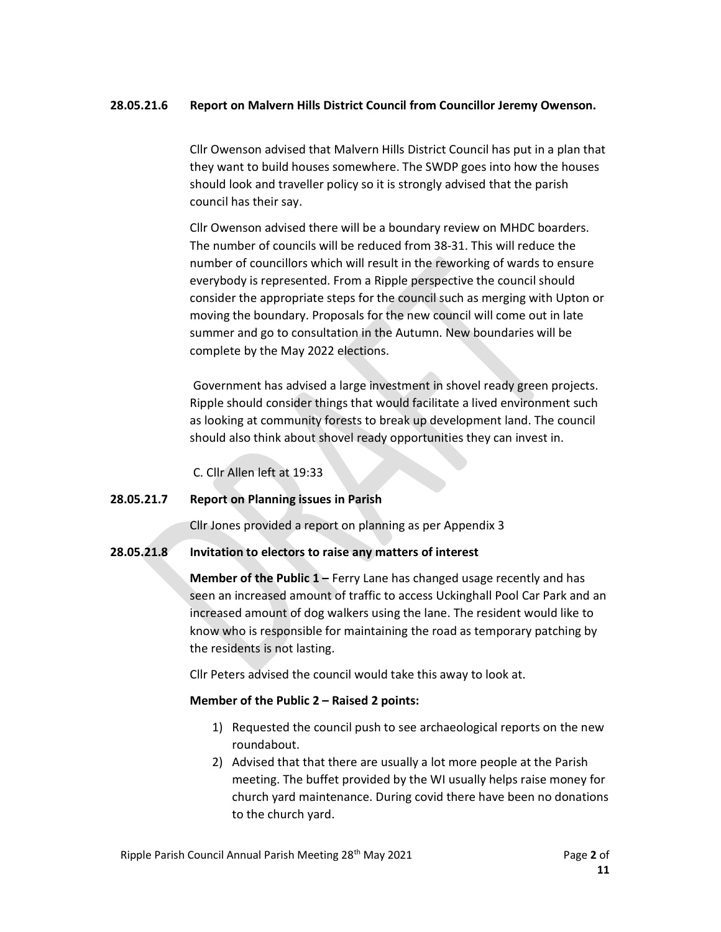## 28.05.21.6 Report on Malvern Hills District Council from Councillor Jeremy Owenson.

Cllr Owenson advised that Malvern Hills District Council has put in a plan that they want to build houses somewhere. The SWDP goes into how the houses should look and traveller policy so it is strongly advised that the parish council has their say.

Cllr Owenson advised there will be a boundary review on MHDC boarders. The number of councils will be reduced from 38-31. This will reduce the number of councillors which will result in the reworking of wards to ensure everybody is represented. From a Ripple perspective the council should consider the appropriate steps for the council such as merging with Upton or moving the boundary. Proposals for the new council will come out in late summer and go to consultation in the Autumn. New boundaries will be complete by the May 2022 elections.

Government has advised a large investment in shovel ready green projects. Ripple should consider things that would facilitate a lived environment such as looking at community forests to break up development land. The council should also think about shovel ready opportunities they can invest in.

C. Cllr Allen left at 19:33

## 28.05.21.7 Report on Planning issues in Parish

Cllr Jones provided a report on planning as per Appendix 3

## 28.05.21.8 Invitation to electors to raise any matters of interest

**Member of the Public 1 – Ferry Lane has changed usage recently and has** seen an increased amount of traffic to access Uckinghall Pool Car Park and an increased amount of dog walkers using the lane. The resident would like to know who is responsible for maintaining the road as temporary patching by the residents is not lasting.

Cllr Peters advised the council would take this away to look at.

## Member of the Public 2 – Raised 2 points:

- 1) Requested the council push to see archaeological reports on the new roundabout.
- 2) Advised that that there are usually a lot more people at the Parish meeting. The buffet provided by the WI usually helps raise money for church yard maintenance. During covid there have been no donations to the church yard.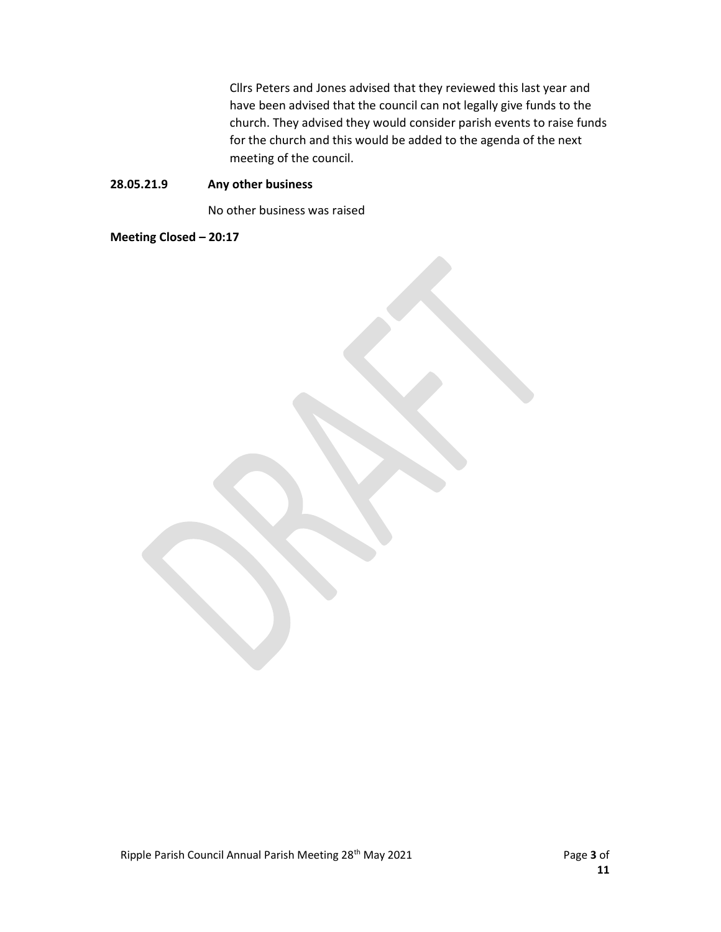Cllrs Peters and Jones advised that they reviewed this last year and have been advised that the council can not legally give funds to the church. They advised they would consider parish events to raise funds for the church and this would be added to the agenda of the next meeting of the council.

## 28.05.21.9 Any other business

No other business was raised

Meeting Closed – 20:17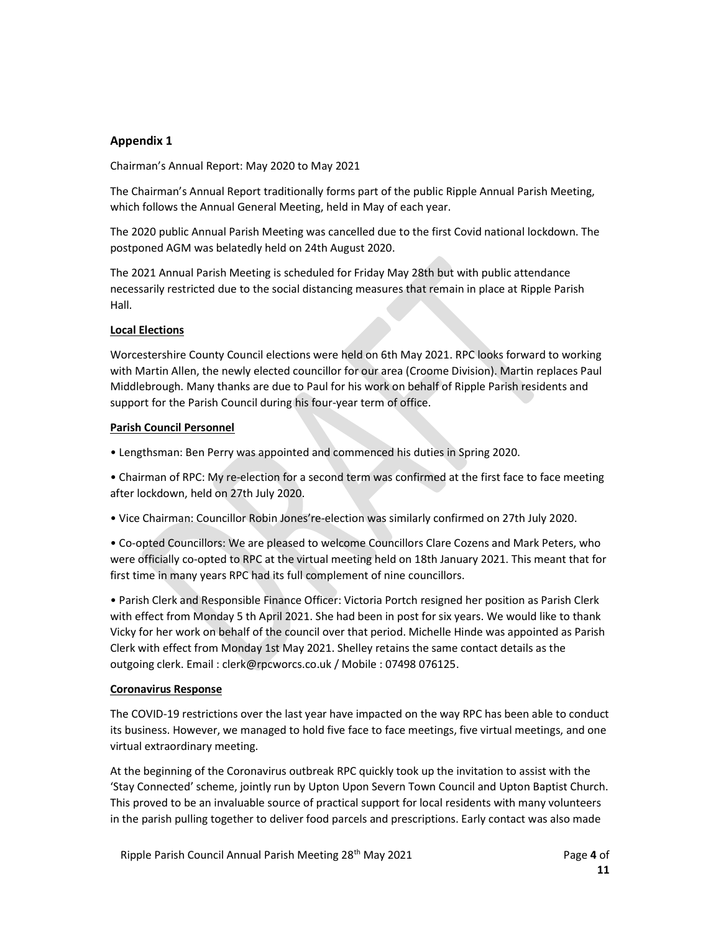## Appendix 1

Chairman's Annual Report: May 2020 to May 2021

The Chairman's Annual Report traditionally forms part of the public Ripple Annual Parish Meeting, which follows the Annual General Meeting, held in May of each year.

The 2020 public Annual Parish Meeting was cancelled due to the first Covid national lockdown. The postponed AGM was belatedly held on 24th August 2020.

The 2021 Annual Parish Meeting is scheduled for Friday May 28th but with public attendance necessarily restricted due to the social distancing measures that remain in place at Ripple Parish Hall.

## Local Elections

Worcestershire County Council elections were held on 6th May 2021. RPC looks forward to working with Martin Allen, the newly elected councillor for our area (Croome Division). Martin replaces Paul Middlebrough. Many thanks are due to Paul for his work on behalf of Ripple Parish residents and support for the Parish Council during his four-year term of office.

### Parish Council Personnel

• Lengthsman: Ben Perry was appointed and commenced his duties in Spring 2020.

• Chairman of RPC: My re-election for a second term was confirmed at the first face to face meeting after lockdown, held on 27th July 2020.

• Vice Chairman: Councillor Robin Jones're-election was similarly confirmed on 27th July 2020.

• Co-opted Councillors: We are pleased to welcome Councillors Clare Cozens and Mark Peters, who were officially co-opted to RPC at the virtual meeting held on 18th January 2021. This meant that for first time in many years RPC had its full complement of nine councillors.

• Parish Clerk and Responsible Finance Officer: Victoria Portch resigned her position as Parish Clerk with effect from Monday 5 th April 2021. She had been in post for six years. We would like to thank Vicky for her work on behalf of the council over that period. Michelle Hinde was appointed as Parish Clerk with effect from Monday 1st May 2021. Shelley retains the same contact details as the outgoing clerk. Email : clerk@rpcworcs.co.uk / Mobile : 07498 076125.

## Coronavirus Response

The COVID-19 restrictions over the last year have impacted on the way RPC has been able to conduct its business. However, we managed to hold five face to face meetings, five virtual meetings, and one virtual extraordinary meeting.

At the beginning of the Coronavirus outbreak RPC quickly took up the invitation to assist with the 'Stay Connected' scheme, jointly run by Upton Upon Severn Town Council and Upton Baptist Church. This proved to be an invaluable source of practical support for local residents with many volunteers in the parish pulling together to deliver food parcels and prescriptions. Early contact was also made

Ripple Parish Council Annual Parish Meeting 28<sup>th</sup> May 2021 **Page 4 of Page 4 of**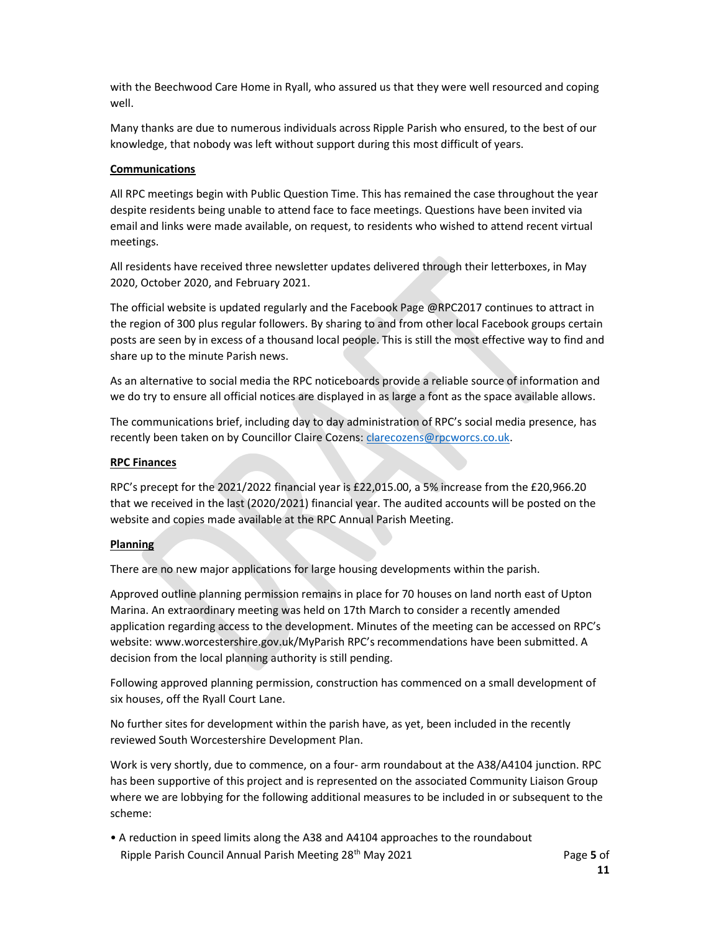with the Beechwood Care Home in Ryall, who assured us that they were well resourced and coping well.

Many thanks are due to numerous individuals across Ripple Parish who ensured, to the best of our knowledge, that nobody was left without support during this most difficult of years.

### **Communications**

All RPC meetings begin with Public Question Time. This has remained the case throughout the year despite residents being unable to attend face to face meetings. Questions have been invited via email and links were made available, on request, to residents who wished to attend recent virtual meetings.

All residents have received three newsletter updates delivered through their letterboxes, in May 2020, October 2020, and February 2021.

The official website is updated regularly and the Facebook Page @RPC2017 continues to attract in the region of 300 plus regular followers. By sharing to and from other local Facebook groups certain posts are seen by in excess of a thousand local people. This is still the most effective way to find and share up to the minute Parish news.

As an alternative to social media the RPC noticeboards provide a reliable source of information and we do try to ensure all official notices are displayed in as large a font as the space available allows.

The communications brief, including day to day administration of RPC's social media presence, has recently been taken on by Councillor Claire Cozens: clarecozens@rpcworcs.co.uk.

### RPC Finances

RPC's precept for the 2021/2022 financial year is £22,015.00, a 5% increase from the £20,966.20 that we received in the last (2020/2021) financial year. The audited accounts will be posted on the website and copies made available at the RPC Annual Parish Meeting.

### Planning

There are no new major applications for large housing developments within the parish.

Approved outline planning permission remains in place for 70 houses on land north east of Upton Marina. An extraordinary meeting was held on 17th March to consider a recently amended application regarding access to the development. Minutes of the meeting can be accessed on RPC's website: www.worcestershire.gov.uk/MyParish RPC's recommendations have been submitted. A decision from the local planning authority is still pending.

Following approved planning permission, construction has commenced on a small development of six houses, off the Ryall Court Lane.

No further sites for development within the parish have, as yet, been included in the recently reviewed South Worcestershire Development Plan.

Work is very shortly, due to commence, on a four- arm roundabout at the A38/A4104 junction. RPC has been supportive of this project and is represented on the associated Community Liaison Group where we are lobbying for the following additional measures to be included in or subsequent to the scheme:

Ripple Parish Council Annual Parish Meeting 28<sup>th</sup> May 2021 **Page 5 of Page 5 of** • A reduction in speed limits along the A38 and A4104 approaches to the roundabout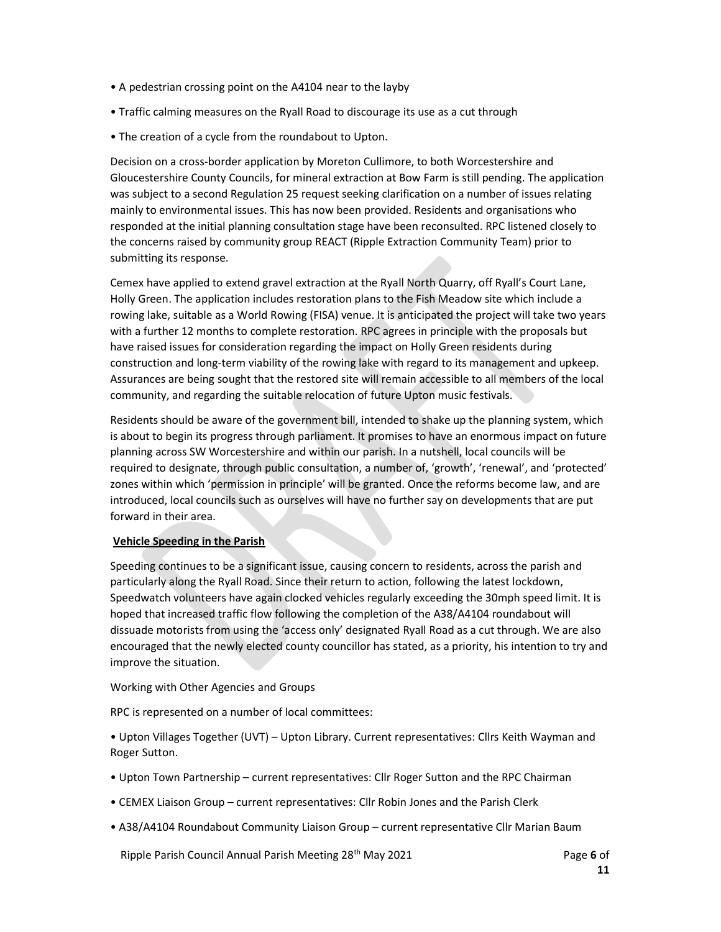- A pedestrian crossing point on the A4104 near to the layby
- Traffic calming measures on the Ryall Road to discourage its use as a cut through
- The creation of a cycle from the roundabout to Upton.

Decision on a cross-border application by Moreton Cullimore, to both Worcestershire and Gloucestershire County Councils, for mineral extraction at Bow Farm is still pending. The application was subject to a second Regulation 25 request seeking clarification on a number of issues relating mainly to environmental issues. This has now been provided. Residents and organisations who responded at the initial planning consultation stage have been reconsulted. RPC listened closely to the concerns raised by community group REACT (Ripple Extraction Community Team) prior to submitting its response.

Cemex have applied to extend gravel extraction at the Ryall North Quarry, off Ryall's Court Lane, Holly Green. The application includes restoration plans to the Fish Meadow site which include a rowing lake, suitable as a World Rowing (FISA) venue. It is anticipated the project will take two years with a further 12 months to complete restoration. RPC agrees in principle with the proposals but have raised issues for consideration regarding the impact on Holly Green residents during construction and long-term viability of the rowing lake with regard to its management and upkeep. Assurances are being sought that the restored site will remain accessible to all members of the local community, and regarding the suitable relocation of future Upton music festivals.

Residents should be aware of the government bill, intended to shake up the planning system, which is about to begin its progress through parliament. It promises to have an enormous impact on future planning across SW Worcestershire and within our parish. In a nutshell, local councils will be required to designate, through public consultation, a number of, 'growth', 'renewal', and 'protected' zones within which 'permission in principle' will be granted. Once the reforms become law, and are introduced, local councils such as ourselves will have no further say on developments that are put forward in their area.

## Vehicle Speeding in the Parish

Speeding continues to be a significant issue, causing concern to residents, across the parish and particularly along the Ryall Road. Since their return to action, following the latest lockdown, Speedwatch volunteers have again clocked vehicles regularly exceeding the 30mph speed limit. It is hoped that increased traffic flow following the completion of the A38/A4104 roundabout will dissuade motorists from using the 'access only' designated Ryall Road as a cut through. We are also encouraged that the newly elected county councillor has stated, as a priority, his intention to try and improve the situation.

Working with Other Agencies and Groups

RPC is represented on a number of local committees:

• Upton Villages Together (UVT) – Upton Library. Current representatives: Cllrs Keith Wayman and Roger Sutton.

- Upton Town Partnership current representatives: Cllr Roger Sutton and the RPC Chairman
- CEMEX Liaison Group current representatives: Cllr Robin Jones and the Parish Clerk
- A38/A4104 Roundabout Community Liaison Group current representative Cllr Marian Baum

Ripple Parish Council Annual Parish Meeting  $28<sup>th</sup>$  May 2021 Page 6 of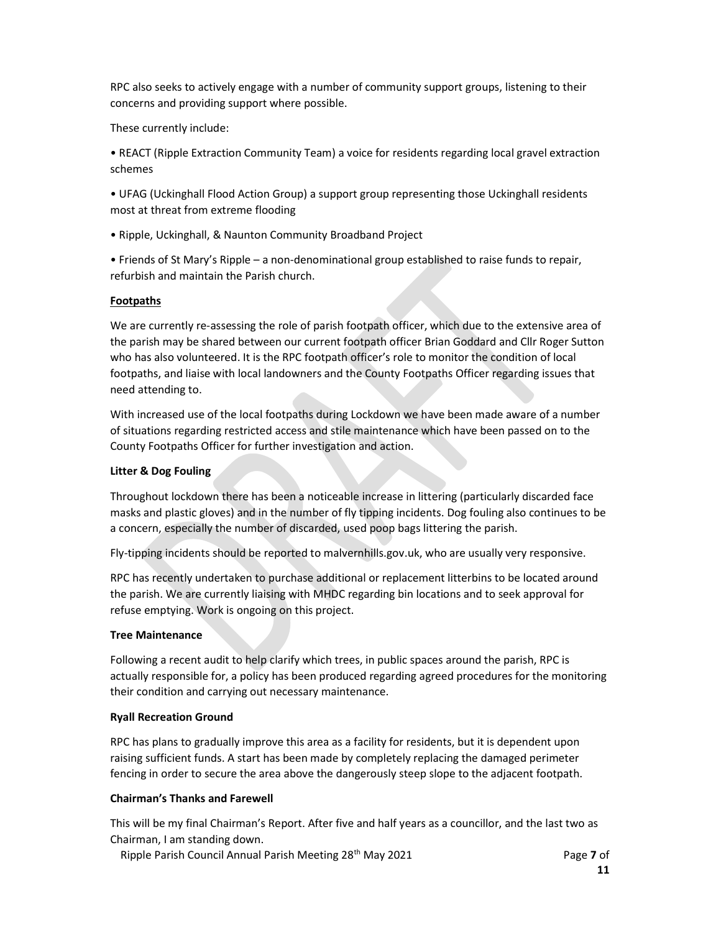RPC also seeks to actively engage with a number of community support groups, listening to their concerns and providing support where possible.

These currently include:

• REACT (Ripple Extraction Community Team) a voice for residents regarding local gravel extraction schemes

• UFAG (Uckinghall Flood Action Group) a support group representing those Uckinghall residents most at threat from extreme flooding

• Ripple, Uckinghall, & Naunton Community Broadband Project

• Friends of St Mary's Ripple – a non-denominational group established to raise funds to repair, refurbish and maintain the Parish church.

## Footpaths

We are currently re-assessing the role of parish footpath officer, which due to the extensive area of the parish may be shared between our current footpath officer Brian Goddard and Cllr Roger Sutton who has also volunteered. It is the RPC footpath officer's role to monitor the condition of local footpaths, and liaise with local landowners and the County Footpaths Officer regarding issues that need attending to.

With increased use of the local footpaths during Lockdown we have been made aware of a number of situations regarding restricted access and stile maintenance which have been passed on to the County Footpaths Officer for further investigation and action.

### Litter & Dog Fouling

Throughout lockdown there has been a noticeable increase in littering (particularly discarded face masks and plastic gloves) and in the number of fly tipping incidents. Dog fouling also continues to be a concern, especially the number of discarded, used poop bags littering the parish.

Fly-tipping incidents should be reported to malvernhills.gov.uk, who are usually very responsive.

RPC has recently undertaken to purchase additional or replacement litterbins to be located around the parish. We are currently liaising with MHDC regarding bin locations and to seek approval for refuse emptying. Work is ongoing on this project.

### Tree Maintenance

Following a recent audit to help clarify which trees, in public spaces around the parish, RPC is actually responsible for, a policy has been produced regarding agreed procedures for the monitoring their condition and carrying out necessary maintenance.

## Ryall Recreation Ground

RPC has plans to gradually improve this area as a facility for residents, but it is dependent upon raising sufficient funds. A start has been made by completely replacing the damaged perimeter fencing in order to secure the area above the dangerously steep slope to the adjacent footpath.

## Chairman's Thanks and Farewell

This will be my final Chairman's Report. After five and half years as a councillor, and the last two as Chairman, I am standing down.

Ripple Parish Council Annual Parish Meeting 28<sup>th</sup> May 2021 **Page 7 of Page 7 of**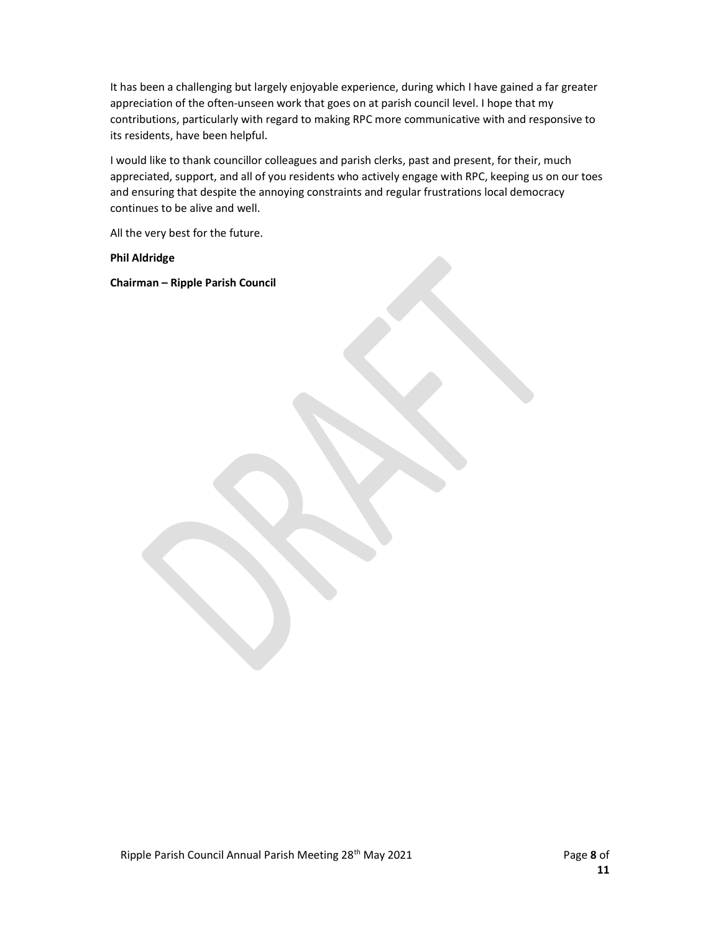It has been a challenging but largely enjoyable experience, during which I have gained a far greater appreciation of the often-unseen work that goes on at parish council level. I hope that my contributions, particularly with regard to making RPC more communicative with and responsive to its residents, have been helpful.

I would like to thank councillor colleagues and parish clerks, past and present, for their, much appreciated, support, and all of you residents who actively engage with RPC, keeping us on our toes and ensuring that despite the annoying constraints and regular frustrations local democracy continues to be alive and well.

All the very best for the future.

Phil Aldridge

Chairman – Ripple Parish Council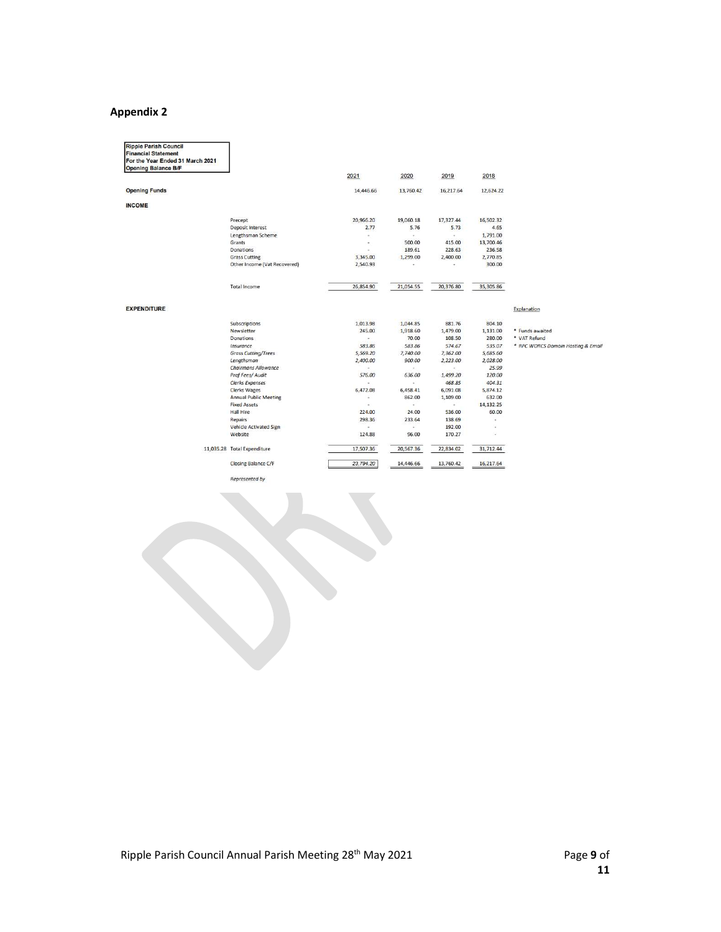# Appendix 2

| <b>Ripple Parish Council</b><br><b>Financial Statement</b><br>For the Year Ended 31 March 2021<br><b>Opening Balance B/F</b> |                              |                     |           |           |           |                                    |
|------------------------------------------------------------------------------------------------------------------------------|------------------------------|---------------------|-----------|-----------|-----------|------------------------------------|
|                                                                                                                              |                              | 2021                | 2020      | 2019      | 2018      |                                    |
| <b>Opening Funds</b>                                                                                                         |                              | 14,446.66           | 13,760.42 | 16,217.64 | 12,624.22 |                                    |
| <b>INCOME</b>                                                                                                                |                              |                     |           |           |           |                                    |
|                                                                                                                              | Precept                      | 20,966.20           | 19,060.18 | 17,327.44 | 16,502.32 |                                    |
|                                                                                                                              | <b>Deposit Interest</b>      | 2.77                | 5.76      | 5.73      | 4.65      |                                    |
|                                                                                                                              | Lengthsman Scheme            | $\scriptstyle\star$ | ۰.        | ٠         | 1,791.00  |                                    |
|                                                                                                                              | Grants                       | ۰                   | 500.00    | 415.00    | 13,700.46 |                                    |
|                                                                                                                              | Donations                    |                     | 189.61    | 228.63    | 236.58    |                                    |
|                                                                                                                              | <b>Grass Cutting</b>         | 3,345.00            | 1,299.00  | 2,400.00  | 2,770.85  |                                    |
|                                                                                                                              | Other Income (Vat Recovered) | 2,540.93            | ×.        | ٠         | 300.00    |                                    |
|                                                                                                                              | <b>Total Income</b>          | 26,854.90           | 21,054.55 | 20,376.80 | 35,305.86 |                                    |
| <b>EXPENDITURE</b>                                                                                                           |                              |                     |           |           |           | Explanation                        |
|                                                                                                                              | Subscriptions                | 1,013.98            | 1,044.85  | 881.76    | 804.10    |                                    |
|                                                                                                                              | Newsletter                   | 245.00              | 1,918.60  | 1,479.00  | 1,131.00  | * Funds awaited                    |
|                                                                                                                              | <b>Donations</b>             | $\sim$              | 70.00     | 108.50    | 280.00    | * VAT Refund                       |
|                                                                                                                              | Insurance                    | 583.86              | 583.86    | 574.67    | 535.07    | * RPC WORCS Domain Hosting & Email |
|                                                                                                                              | <b>Grass Cutting/Trees</b>   | 5,569.20            | 7,740.00  | 7,362.00  | 5,685.60  |                                    |
|                                                                                                                              | Lengthsman                   | 2,400.00            | 900.00    | 2,223.00  | 2,028.00  |                                    |
|                                                                                                                              | Chairmans Allowance          | $\sim$              | £.        | ¥,        | 25.99     |                                    |
|                                                                                                                              | Prof Fees/ Audit             | 576.00              | 636.00    | 1,499.20  | 120.00    |                                    |
|                                                                                                                              | Clerks Expenses              | ÷.                  | ÷.        | 468.85    | 404.31    |                                    |
|                                                                                                                              | <b>Clerks Wages</b>          | 6,472.08            | 6,458.41  | 6,091.08  | 5,874.12  |                                    |
|                                                                                                                              | <b>Annual Public Meeting</b> | $\sim$              | 862.00    | 1,109.00  | 632.00    |                                    |
|                                                                                                                              | <b>Fixed Assets</b>          | $\sim$              | ÷.        | ÷.        | 14,132.25 |                                    |
|                                                                                                                              | <b>Hall Hire</b>             | 224.00              | 24.00     | 536.00    | 60.00     |                                    |
|                                                                                                                              | Repairs                      | 298.36              | 233.64    | 138.69    | ×         |                                    |
|                                                                                                                              | Vehicle Activated Sign       | $\sim$              | ¥.        | 192.00    |           |                                    |
|                                                                                                                              | Website                      | 124.88              | 96.00     | 170.27    | $\sim$    |                                    |
|                                                                                                                              | 11,035.28 Total Expenditure  | 17,507.36           | 20,567.36 | 22,834.02 | 31,712.44 |                                    |
|                                                                                                                              | Closing Balance C/F          | 23,794.20           | 14,446.66 | 13,760.42 | 16,217.64 |                                    |

Represented by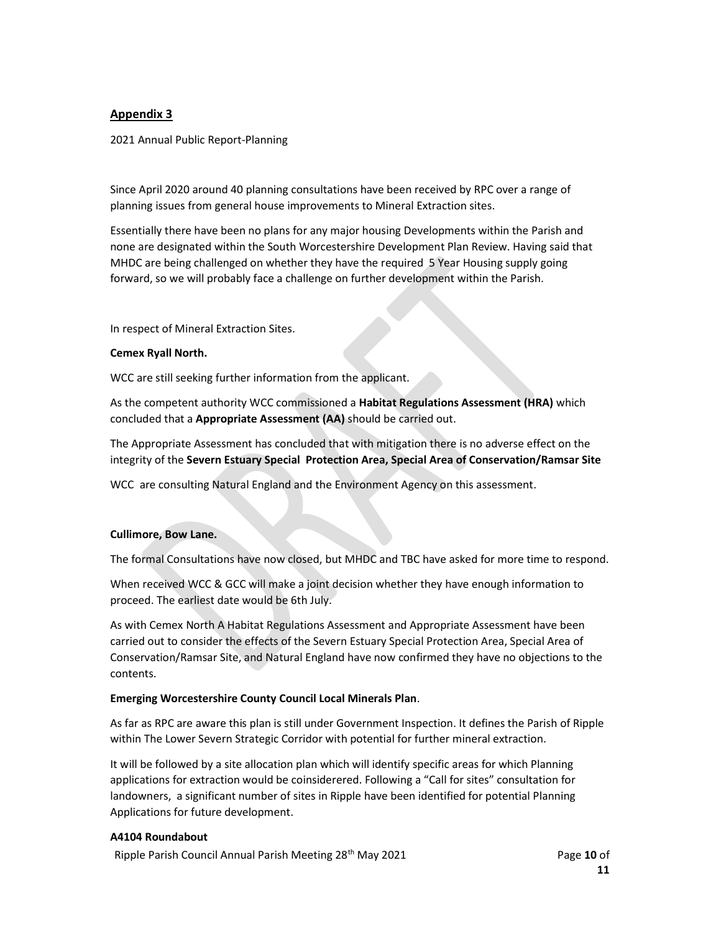## Appendix 3

2021 Annual Public Report-Planning

Since April 2020 around 40 planning consultations have been received by RPC over a range of planning issues from general house improvements to Mineral Extraction sites.

Essentially there have been no plans for any major housing Developments within the Parish and none are designated within the South Worcestershire Development Plan Review. Having said that MHDC are being challenged on whether they have the required 5 Year Housing supply going forward, so we will probably face a challenge on further development within the Parish.

In respect of Mineral Extraction Sites.

### Cemex Ryall North.

WCC are still seeking further information from the applicant.

As the competent authority WCC commissioned a Habitat Regulations Assessment (HRA) which concluded that a Appropriate Assessment (AA) should be carried out.

The Appropriate Assessment has concluded that with mitigation there is no adverse effect on the integrity of the Severn Estuary Special Protection Area, Special Area of Conservation/Ramsar Site

WCC are consulting Natural England and the Environment Agency on this assessment.

## Cullimore, Bow Lane.

The formal Consultations have now closed, but MHDC and TBC have asked for more time to respond.

When received WCC & GCC will make a joint decision whether they have enough information to proceed. The earliest date would be 6th July.

As with Cemex North A Habitat Regulations Assessment and Appropriate Assessment have been carried out to consider the effects of the Severn Estuary Special Protection Area, Special Area of Conservation/Ramsar Site, and Natural England have now confirmed they have no objections to the contents.

### Emerging Worcestershire County Council Local Minerals Plan.

As far as RPC are aware this plan is still under Government Inspection. It defines the Parish of Ripple within The Lower Severn Strategic Corridor with potential for further mineral extraction.

It will be followed by a site allocation plan which will identify specific areas for which Planning applications for extraction would be coinsiderered. Following a "Call for sites" consultation for landowners, a significant number of sites in Ripple have been identified for potential Planning Applications for future development.

### A4104 Roundabout

Ripple Parish Council Annual Parish Meeting 28<sup>th</sup> May 2021 Page 10 of